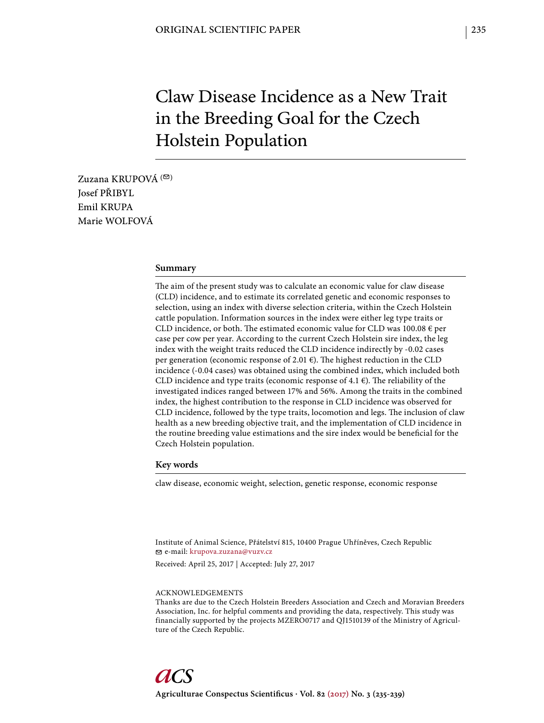# Claw Disease Incidence as a New Trait in the Breeding Goal for the Czech Holstein Population

Zuzana KRUPOVÁ  $( \heartsuit )$ Josef PŘIBYL Emil KRUPA Marie WOLFOVÁ

#### **Summary**

The aim of the present study was to calculate an economic value for claw disease (CLD) incidence, and to estimate its correlated genetic and economic responses to selection, using an index with diverse selection criteria, within the Czech Holstein cattle population. Information sources in the index were either leg type traits or CLD incidence, or both. The estimated economic value for CLD was  $100.08 \in$  per case per cow per year. According to the current Czech Holstein sire index, the leg index with the weight traits reduced the CLD incidence indirectly by -0.02 cases per generation (economic response of 2.01 $\epsilon$ ). The highest reduction in the CLD incidence (-0.04 cases) was obtained using the combined index, which included both CLD incidence and type traits (economic response of 4.1  $\epsilon$ ). The reliability of the investigated indices ranged between 17% and 56%. Among the traits in the combined index, the highest contribution to the response in CLD incidence was observed for CLD incidence, followed by the type traits, locomotion and legs. The inclusion of claw health as a new breeding objective trait, and the implementation of CLD incidence in the routine breeding value estimations and the sire index would be beneficial for the Czech Holstein population.

#### **Key words**

claw disease, economic weight, selection, genetic response, economic response

Institute of Animal Science, Přátelství 815, 10400 Prague Uhříněves, Czech Republic e-mail: krupova.zuzana@vuzv.cz

Received: April 25, 2017 | Accepted: July 27, 2017

#### ACKNOWLEDGEMENTS

Thanks are due to the Czech Holstein Breeders Association and Czech and Moravian Breeders Association, Inc. for helpful comments and providing the data, respectively. This study was financially supported by the projects MZERO0717 and QJ1510139 of the Ministry of Agriculture of the Czech Republic.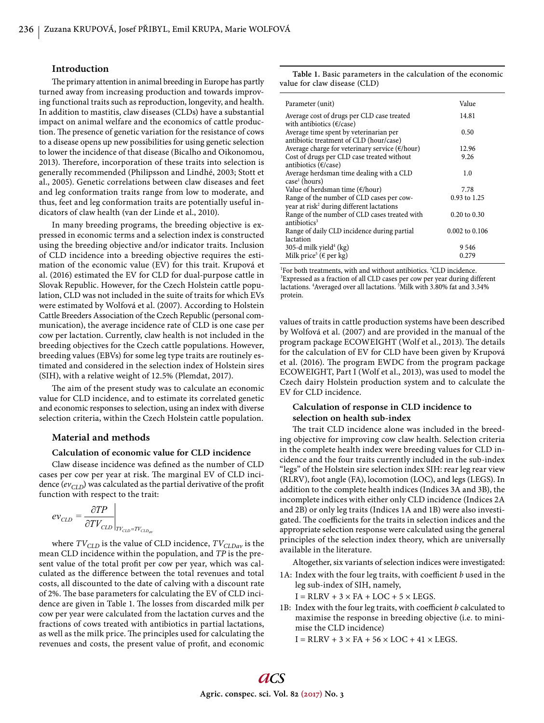### **Introduction**

The primary attention in animal breeding in Europe has partly turned away from increasing production and towards improving functional traits such as reproduction, longevity, and health. In addition to mastitis, claw diseases (CLDs) have a substantial impact on animal welfare and the economics of cattle production. The presence of genetic variation for the resistance of cows to a disease opens up new possibilities for using genetic selection to lower the incidence of that disease (Bicalho and Oikonomou, 2013). Therefore, incorporation of these traits into selection is generally recommended (Philipsson and Lindhé, 2003; Stott et al., 2005). Genetic correlations between claw diseases and feet and leg conformation traits range from low to moderate, and thus, feet and leg conformation traits are potentially useful indicators of claw health (van der Linde et al., 2010).

In many breeding programs, the breeding objective is expressed in economic terms and a selection index is constructed using the breeding objective and/or indicator traits. Inclusion of CLD incidence into a breeding objective requires the estimation of the economic value (EV) for this trait. Krupová et al. (2016) estimated the EV for CLD for dual-purpose cattle in Slovak Republic. However, for the Czech Holstein cattle population, CLD was not included in the suite of traits for which EVs were estimated by Wolfová et al. (2007). According to Holstein Cattle Breeders Association of the Czech Republic (personal communication), the average incidence rate of CLD is one case per cow per lactation. Currently, claw health is not included in the breeding objectives for the Czech cattle populations. However, breeding values (EBVs) for some leg type traits are routinely estimated and considered in the selection index of Holstein sires (SIH), with a relative weight of 12.5% (Plemdat, 2017).

The aim of the present study was to calculate an economic value for CLD incidence, and to estimate its correlated genetic and economic responses to selection, using an index with diverse selection criteria, within the Czech Holstein cattle population.

#### **Material and methods**

## **Calculation of economic value for CLD incidence**

Claw disease incidence was defined as the number of CLD cases per cow per year at risk. The marginal EV of CLD incidence  $(ev_{CLD})$  was calculated as the partial derivative of the profit function with respect to the trait:

$$
ev_{CLD} = \frac{\partial TP}{\partial TV_{CLD}}\Big|_{TV_{CLD} = TV_{CLD_{av}}}
$$

where  $TV_{CLD}$  is the value of CLD incidence,  $TV_{CLDav}$  is the mean CLD incidence within the population, and *TP* is the present value of the total profit per cow per year, which was calculated as the difference between the total revenues and total costs, all discounted to the date of calving with a discount rate of 2%. The base parameters for calculating the EV of CLD incidence are given in Table 1. The losses from discarded milk per cow per year were calculated from the lactation curves and the fractions of cows treated with antibiotics in partial lactations, as well as the milk price. The principles used for calculating the revenues and costs, the present value of profit, and economic

| Table 1. Basic parameters in the calculation of the economic |  |  |
|--------------------------------------------------------------|--|--|
| value for claw disease (CLD)                                 |  |  |

For both treatments, with and without antibiotics. <sup>2</sup>CLD incidence. <sup>3</sup>Expressed as a fraction of all CLD cases per cow per year during dif <sup>3</sup>Expressed as a fraction of all CLD cases per cow per year during different lactations. <sup>4</sup> Averaged over all lactations. <sup>5</sup> Milk with 3.80% fat and 3.34% protein.

values of traits in cattle production systems have been described by Wolfová et al. (2007) and are provided in the manual of the program package ECOWEIGHT (Wolf et al., 2013). The details for the calculation of EV for CLD have been given by Krupová et al. (2016). The program EWDC from the program package ECOWEIGHT, Part I (Wolf et al., 2013), was used to model the Czech dairy Holstein production system and to calculate the EV for CLD incidence.

## **Calculation of response in CLD incidence to selection on health sub-index**

The trait CLD incidence alone was included in the breeding objective for improving cow claw health. Selection criteria in the complete health index were breeding values for CLD incidence and the four traits currently included in the sub-index "legs" of the Holstein sire selection index SIH: rear leg rear view (RLRV), foot angle (FA), locomotion (LOC), and legs (LEGS). In addition to the complete health indices (Indices 3A and 3B), the incomplete indices with either only CLD incidence (Indices 2A and 2B) or only leg traits (Indices 1A and 1B) were also investigated. The coefficients for the traits in selection indices and the appropriate selection response were calculated using the general principles of the selection index theory, which are universally available in the literature.

Altogether, six variants of selection indices were investigated:

1A: Index with the four leg traits, with coefficient *b* used in the leg sub-index of SIH, namely,

 $I = RLRV + 3 \times FA + LOC + 5 \times LEGS.$ 

1B: Index with the four leg traits, with coefficient *b* calculated to maximise the response in breeding objective (i.e. to minimise the CLD incidence)

 $I = RLRV + 3 \times FA + 56 \times LOC + 41 \times LEGS$ .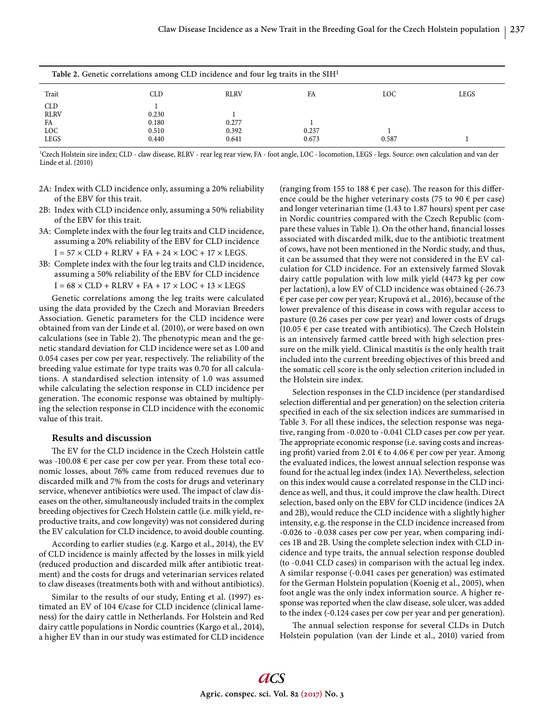| Table 2. Genetic correlations among CLD incidence and four leg traits in the $SH1$ |       |             |       |       |      |  |  |
|------------------------------------------------------------------------------------|-------|-------------|-------|-------|------|--|--|
| Trait                                                                              | CLD   | <b>RLRV</b> | FA    | LOC.  | LEGS |  |  |
| <b>CLD</b>                                                                         |       |             |       |       |      |  |  |
| <b>RLRV</b>                                                                        | 0.230 |             |       |       |      |  |  |
| FA                                                                                 | 0.180 | 0.277       |       |       |      |  |  |
| LOC                                                                                | 0.510 | 0.392       | 0.237 |       |      |  |  |
| <b>LEGS</b>                                                                        | 0.440 | 0.641       | 0.673 | 0.587 |      |  |  |

<sup>1</sup>Czech Holstein sire index; CLD - claw disease, RLRV - rear leg rear view, FA - foot angle, LOC - locomotion, LEGS - legs. Source: own calculation and van der Linde et al. (2010)

- 2A: Index with CLD incidence only, assuming a 20% reliability of the EBV for this trait.
- 2B: Index with CLD incidence only, assuming a 50% reliability of the EBV for this trait.
- 3A: Complete index with the four leg traits and CLD incidence, assuming a 20% reliability of the EBV for CLD incidence  $I = 57 \times CLD + RLRV + FA + 24 \times LOC + 17 \times LEGS.$
- 3B: Complete index with the four leg traits and CLD incidence, assuming a 50% reliability of the EBV for CLD incidence  $I = 68 \times CLD + RLRV + FA + 17 \times LOC + 13 \times LEGS$

Genetic correlations among the leg traits were calculated using the data provided by the Czech and Moravian Breeders Association. Genetic parameters for the CLD incidence were obtained from van der Linde et al. (2010), or were based on own calculations (see in Table 2). The phenotypic mean and the genetic standard deviation for CLD incidence were set as 1.00 and 0.054 cases per cow per year, respectively. The reliability of the breeding value estimate for type traits was 0.70 for all calculations. A standardised selection intensity of 1.0 was assumed while calculating the selection response in CLD incidence per generation. The economic response was obtained by multiplying the selection response in CLD incidence with the economic value of this trait.

# **Results and discussion**

The EV for the CLD incidence in the Czech Holstein cattle was -100.08 € per case per cow per year. From these total economic losses, about 76% came from reduced revenues due to discarded milk and 7% from the costs for drugs and veterinary service, whenever antibiotics were used. The impact of claw diseases on the other, simultaneously included traits in the complex breeding objectives for Czech Holstein cattle (i.e. milk yield, reproductive traits, and cow longevity) was not considered during the EV calculation for CLD incidence, to avoid double counting.

According to earlier studies (e.g. Kargo et al., 2014), the EV of CLD incidence is mainly affected by the losses in milk yield (reduced production and discarded milk after antibiotic treatment) and the costs for drugs and veterinarian services related to claw diseases (treatments both with and without antibiotics).

Similar to the results of our study, Enting et al. (1997) estimated an EV of 104 €/case for CLD incidence (clinical lameness) for the dairy cattle in Netherlands. For Holstein and Red dairy cattle populations in Nordic countries (Kargo et al., 2014), a higher EV than in our study was estimated for CLD incidence

(ranging from 155 to 188  $\epsilon$  per case). The reason for this difference could be the higher veterinary costs (75 to 90  $\epsilon$  per case) and longer veterinarian time (1.43 to 1.87 hours) spent per case in Nordic countries compared with the Czech Republic (compare these values in Table 1). On the other hand, financial losses associated with discarded milk, due to the antibiotic treatment of cows, have not been mentioned in the Nordic study, and thus, it can be assumed that they were not considered in the EV calculation for CLD incidence. For an extensively farmed Slovak dairy cattle population with low milk yield (4473 kg per cow per lactation), a low EV of CLD incidence was obtained (-26.73 € per case per cow per year; Krupová et al., 2016), because of the lower prevalence of this disease in cows with regular access to pasture (0.26 cases per cow per year) and lower costs of drugs (10.05  $\epsilon$  per case treated with antibiotics). The Czech Holstein is an intensively farmed cattle breed with high selection pressure on the milk yield. Clinical mastitis is the only health trait included into the current breeding objectives of this breed and the somatic cell score is the only selection criterion included in the Holstein sire index.

Selection responses in the CLD incidence (per standardised selection differential and per generation) on the selection criteria specified in each of the six selection indices are summarised in Table 3. For all these indices, the selection response was negative, ranging from -0.020 to -0.041 CLD cases per cow per year. The appropriate economic response (i.e. saving costs and increasing profit) varied from 2.01  $\epsilon$  to 4.06  $\epsilon$  per cow per year. Among the evaluated indices, the lowest annual selection response was found for the actual leg index (index 1A). Nevertheless, selection on this index would cause a correlated response in the CLD incidence as well, and thus, it could improve the claw health. Direct selection, based only on the EBV for CLD incidence (indices 2A and 2B), would reduce the CLD incidence with a slightly higher intensity, e.g. the response in the CLD incidence increased from -0.026 to -0.038 cases per cow per year, when comparing indices 1B and 2B. Using the complete selection index with CLD incidence and type traits, the annual selection response doubled (to -0.041 CLD cases) in comparison with the actual leg index. A similar response (-0.041 cases per generation) was estimated for the German Holstein population (Koenig et al., 2005), when foot angle was the only index information source. A higher response was reported when the claw disease, sole ulcer, was added to the index (-0.124 cases per cow per year and per generation).

The annual selection response for several CLDs in Dutch Holstein population (van der Linde et al., 2010) varied from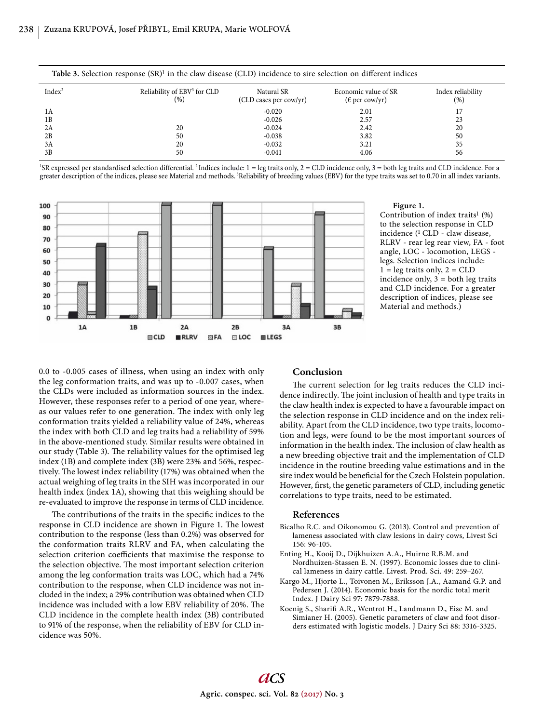| Table 3. Selection response $(SR)^1$ in the claw disease (CLD) incidence to sire selection on different indices |                                                |                                      |                                                 |                          |  |  |  |
|-----------------------------------------------------------------------------------------------------------------|------------------------------------------------|--------------------------------------|-------------------------------------------------|--------------------------|--|--|--|
| Index <sup>2</sup>                                                                                              | Reliability of EBV <sup>3</sup> for CLD<br>(%) | Natural SR<br>(CLD cases per cow/yr) | Economic value of SR<br>$(\epsilon$ per cow/yr) | Index reliability<br>(%) |  |  |  |
| 1A                                                                                                              |                                                | $-0.020$                             | 2.01                                            |                          |  |  |  |
| 1B                                                                                                              |                                                | $-0.026$                             | 2.57                                            | 23                       |  |  |  |
| 2A                                                                                                              | 20                                             | $-0.024$                             | 2.42                                            | 20                       |  |  |  |
| 2B                                                                                                              | 50                                             | $-0.038$                             | 3.82                                            | 50                       |  |  |  |
| 3A                                                                                                              | 20                                             | $-0.032$                             | 3.21                                            | 35                       |  |  |  |
| 3B                                                                                                              | 50                                             | $-0.041$                             | 4.06                                            | 56                       |  |  |  |

<sup>&</sup>lt;sup>1</sup>SR expressed per standardised selection differential. <sup>2</sup>Indices include: 1 = leg traits only, 2 = CLD incidence only, 3 = both leg traits and CLD incidence. For a greater description of the indices, please see Material and methods. 3Reliability of breeding values (EBV) for the type traits was set to 0.70 in all index variants.



**Figure 1.**  Contribution of index traits<sup>1</sup>  $(\%)$ to the selection response in CLD incidence (1 CLD - claw disease, RLRV - rear leg rear view, FA - foot angle, LOC - locomotion, LEGS legs. Selection indices include:  $1 = \text{leg traits only}, 2 = \text{CLD}$ incidence only,  $3 =$  both leg traits and CLD incidence. For a greater description of indices, please see Material and methods.)

0.0 to -0.005 cases of illness, when using an index with only the leg conformation traits, and was up to -0.007 cases, when the CLDs were included as information sources in the index. However, these responses refer to a period of one year, whereas our values refer to one generation. The index with only leg conformation traits yielded a reliability value of 24%, whereas the index with both CLD and leg traits had a reliability of 59% in the above-mentioned study. Similar results were obtained in our study (Table 3). The reliability values for the optimised leg index (1B) and complete index (3B) were 23% and 56%, respectively. The lowest index reliability (17%) was obtained when the actual weighing of leg traits in the SIH was incorporated in our health index (index 1A), showing that this weighing should be re-evaluated to improve the response in terms of CLD incidence.

The contributions of the traits in the specific indices to the response in CLD incidence are shown in Figure 1. The lowest contribution to the response (less than 0.2%) was observed for the conformation traits RLRV and FA, when calculating the selection criterion coefficients that maximise the response to the selection objective. The most important selection criterion among the leg conformation traits was LOC, which had a 74% contribution to the response, when CLD incidence was not included in the index; a 29% contribution was obtained when CLD incidence was included with a low EBV reliability of 20%. The CLD incidence in the complete health index (3B) contributed to 91% of the response, when the reliability of EBV for CLD incidence was 50%.

## **Conclusion**

The current selection for leg traits reduces the CLD incidence indirectly. The joint inclusion of health and type traits in the claw health index is expected to have a favourable impact on the selection response in CLD incidence and on the index reliability. Apart from the CLD incidence, two type traits, locomotion and legs, were found to be the most important sources of information in the health index. The inclusion of claw health as a new breeding objective trait and the implementation of CLD incidence in the routine breeding value estimations and in the sire index would be beneficial for the Czech Holstein population. However, first, the genetic parameters of CLD, including genetic correlations to type traits, need to be estimated.

## **References**

- Bicalho R.C. and Oikonomou G. (2013). Control and prevention of lameness associated with claw lesions in dairy cows, Livest Sci 156: 96-105.
- Enting H., Kooij D., Dijkhuizen A.A., Huirne R.B.M. and Nordhuizen-Stassen E. N. (1997). Economic losses due to clinical lameness in dairy cattle. Livest. Prod. Sci. 49: 259–267.
- Kargo M., Hjortø L., Toivonen M., Eriksson J.A., Aamand G.P. and Pedersen J. (2014). Economic basis for the nordic total merit Index. J Dairy Sci 97: 7879-7888.
- Koenig S., Sharifi A.R., Wentrot H., Landmann D., Eise M. and Simianer H. (2005). Genetic parameters of claw and foot disorders estimated with logistic models. J Dairy Sci 88: 3316-3325.